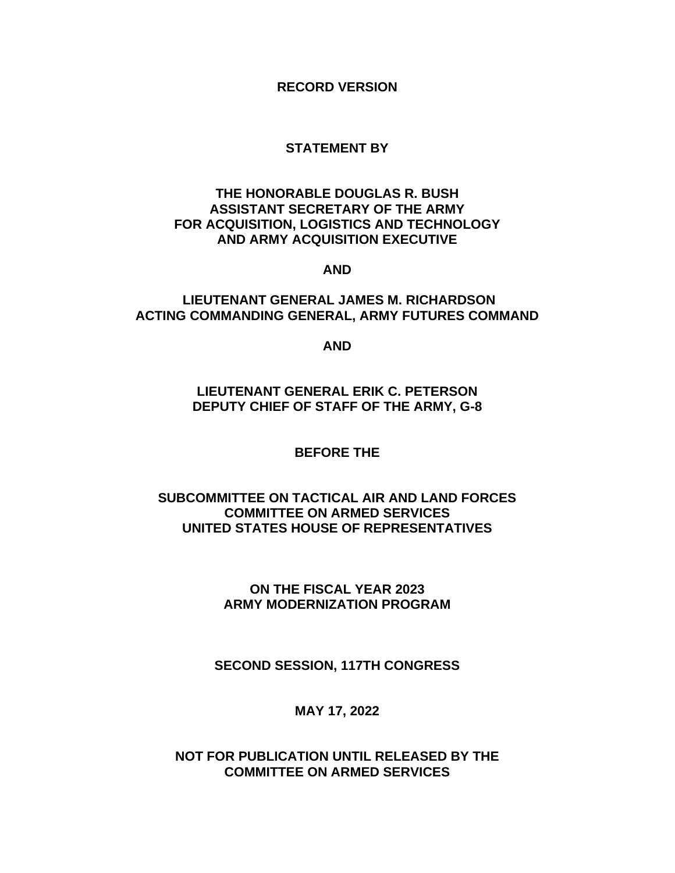**RECORD VERSION**

## **STATEMENT BY**

## **THE HONORABLE DOUGLAS R. BUSH ASSISTANT SECRETARY OF THE ARMY FOR ACQUISITION, LOGISTICS AND TECHNOLOGY AND ARMY ACQUISITION EXECUTIVE**

#### **AND**

### **LIEUTENANT GENERAL JAMES M. RICHARDSON ACTING COMMANDING GENERAL, ARMY FUTURES COMMAND**

**AND**

# **LIEUTENANT GENERAL ERIK C. PETERSON DEPUTY CHIEF OF STAFF OF THE ARMY, G-8**

#### **BEFORE THE**

# **SUBCOMMITTEE ON TACTICAL AIR AND LAND FORCES COMMITTEE ON ARMED SERVICES UNITED STATES HOUSE OF REPRESENTATIVES**

# **ON THE FISCAL YEAR 2023 ARMY MODERNIZATION PROGRAM**

# **SECOND SESSION, 117TH CONGRESS**

# **MAY 17, 2022**

### **NOT FOR PUBLICATION UNTIL RELEASED BY THE COMMITTEE ON ARMED SERVICES**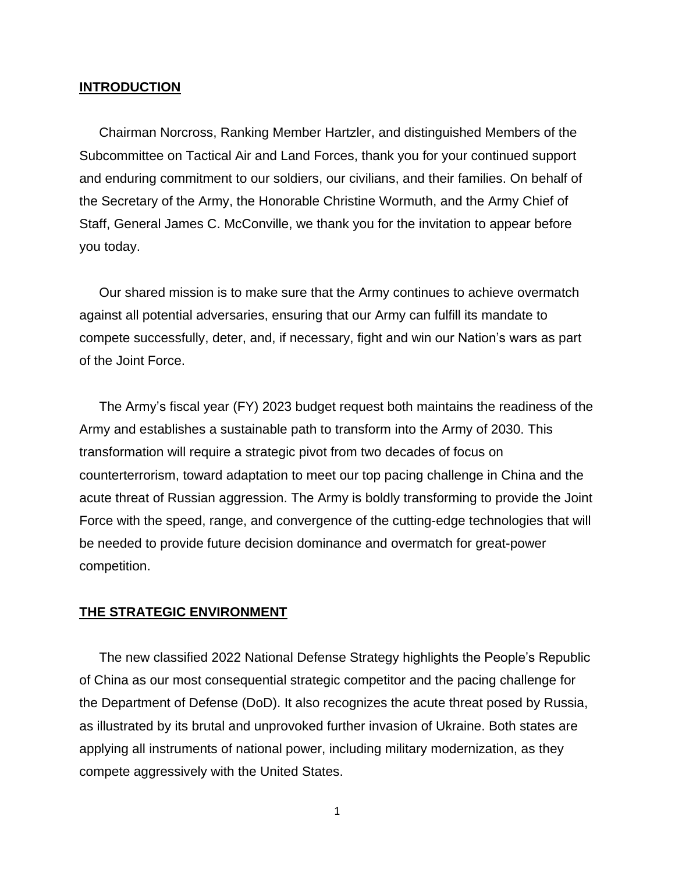#### **INTRODUCTION**

Chairman Norcross, Ranking Member Hartzler, and distinguished Members of the Subcommittee on Tactical Air and Land Forces, thank you for your continued support and enduring commitment to our soldiers, our civilians, and their families. On behalf of the Secretary of the Army, the Honorable Christine Wormuth, and the Army Chief of Staff, General James C. McConville, we thank you for the invitation to appear before you today.

Our shared mission is to make sure that the Army continues to achieve overmatch against all potential adversaries, ensuring that our Army can fulfill its mandate to compete successfully, deter, and, if necessary, fight and win our Nation's wars as part of the Joint Force.

The Army's fiscal year (FY) 2023 budget request both maintains the readiness of the Army and establishes a sustainable path to transform into the Army of 2030. This transformation will require a strategic pivot from two decades of focus on counterterrorism, toward adaptation to meet our top pacing challenge in China and the acute threat of Russian aggression. The Army is boldly transforming to provide the Joint Force with the speed, range, and convergence of the cutting-edge technologies that will be needed to provide future decision dominance and overmatch for great-power competition.

### **THE STRATEGIC ENVIRONMENT**

The new classified 2022 National Defense Strategy highlights the People's Republic of China as our most consequential strategic competitor and the pacing challenge for the Department of Defense (DoD). It also recognizes the acute threat posed by Russia, as illustrated by its brutal and unprovoked further invasion of Ukraine. Both states are applying all instruments of national power, including military modernization, as they compete aggressively with the United States.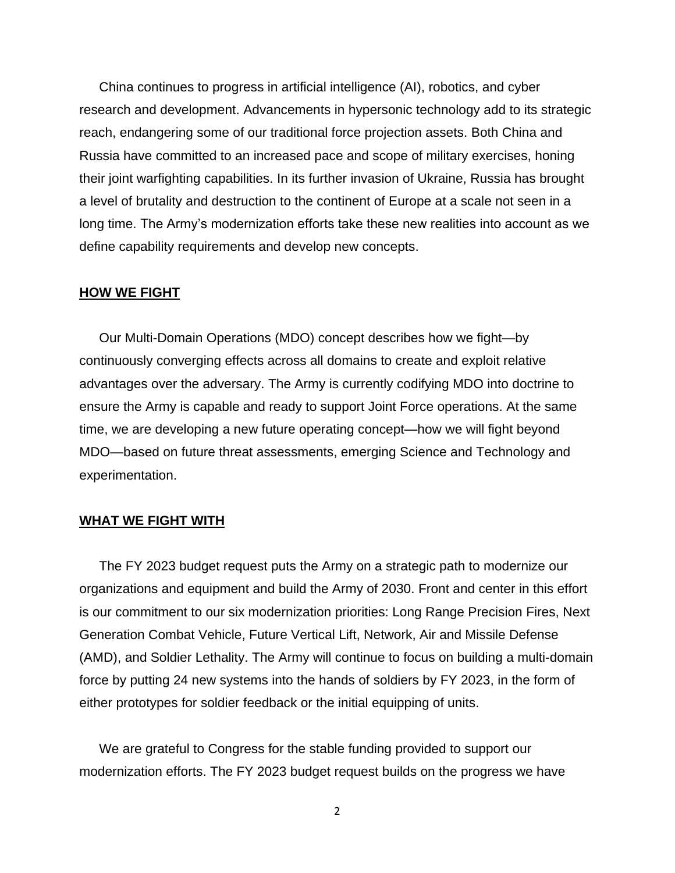China continues to progress in artificial intelligence (AI), robotics, and cyber research and development. Advancements in hypersonic technology add to its strategic reach, endangering some of our traditional force projection assets. Both China and Russia have committed to an increased pace and scope of military exercises, honing their joint warfighting capabilities. In its further invasion of Ukraine, Russia has brought a level of brutality and destruction to the continent of Europe at a scale not seen in a long time. The Army's modernization efforts take these new realities into account as we define capability requirements and develop new concepts.

#### **HOW WE FIGHT**

Our Multi-Domain Operations (MDO) concept describes how we fight—by continuously converging effects across all domains to create and exploit relative advantages over the adversary. The Army is currently codifying MDO into doctrine to ensure the Army is capable and ready to support Joint Force operations. At the same time, we are developing a new future operating concept—how we will fight beyond MDO—based on future threat assessments, emerging Science and Technology and experimentation.

#### **WHAT WE FIGHT WITH**

The FY 2023 budget request puts the Army on a strategic path to modernize our organizations and equipment and build the Army of 2030. Front and center in this effort is our commitment to our six modernization priorities: Long Range Precision Fires, Next Generation Combat Vehicle, Future Vertical Lift, Network, Air and Missile Defense (AMD), and Soldier Lethality. The Army will continue to focus on building a multi-domain force by putting 24 new systems into the hands of soldiers by FY 2023, in the form of either prototypes for soldier feedback or the initial equipping of units.

We are grateful to Congress for the stable funding provided to support our modernization efforts. The FY 2023 budget request builds on the progress we have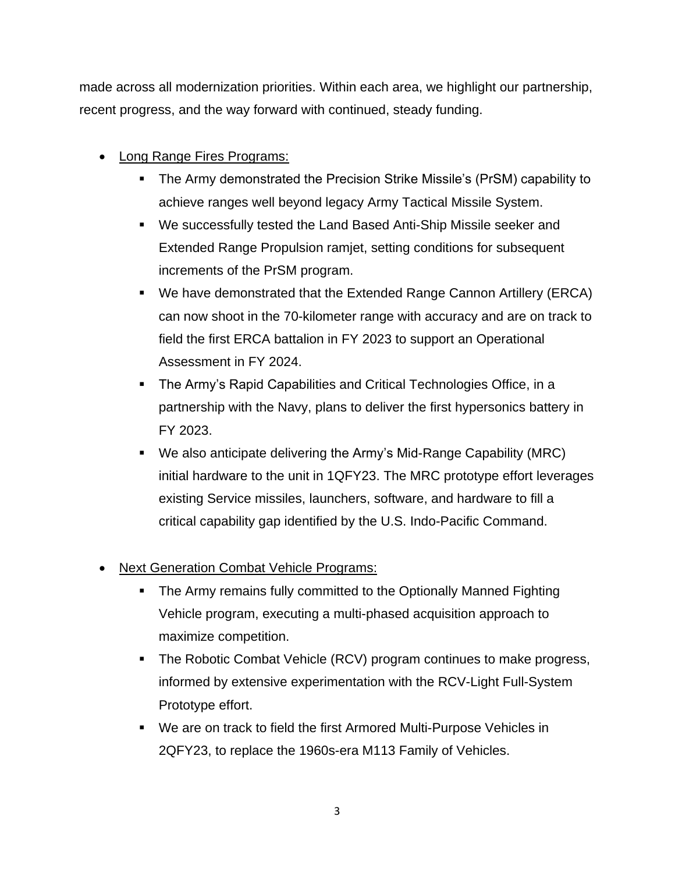made across all modernization priorities. Within each area, we highlight our partnership, recent progress, and the way forward with continued, steady funding.

- Long Range Fires Programs:
	- The Army demonstrated the Precision Strike Missile's (PrSM) capability to achieve ranges well beyond legacy Army Tactical Missile System.
	- We successfully tested the Land Based Anti-Ship Missile seeker and Extended Range Propulsion ramjet, setting conditions for subsequent increments of the PrSM program.
	- We have demonstrated that the Extended Range Cannon Artillery (ERCA) can now shoot in the 70-kilometer range with accuracy and are on track to field the first ERCA battalion in FY 2023 to support an Operational Assessment in FY 2024.
	- The Army's Rapid Capabilities and Critical Technologies Office, in a partnership with the Navy, plans to deliver the first hypersonics battery in FY 2023.
	- We also anticipate delivering the Army's Mid-Range Capability (MRC) initial hardware to the unit in 1QFY23. The MRC prototype effort leverages existing Service missiles, launchers, software, and hardware to fill a critical capability gap identified by the U.S. Indo-Pacific Command.
- Next Generation Combat Vehicle Programs:
	- The Army remains fully committed to the Optionally Manned Fighting Vehicle program, executing a multi-phased acquisition approach to maximize competition.
	- **The Robotic Combat Vehicle (RCV) program continues to make progress,** informed by extensive experimentation with the RCV-Light Full-System Prototype effort.
	- We are on track to field the first Armored Multi-Purpose Vehicles in 2QFY23, to replace the 1960s-era M113 Family of Vehicles.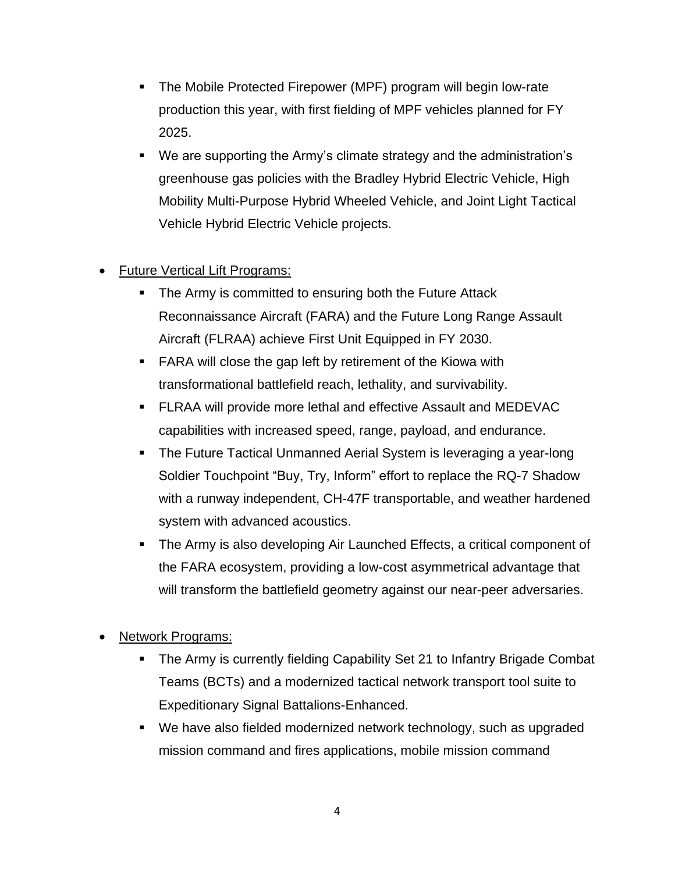- The Mobile Protected Firepower (MPF) program will begin low-rate production this year, with first fielding of MPF vehicles planned for FY 2025.
- We are supporting the Army's climate strategy and the administration's greenhouse gas policies with the Bradley Hybrid Electric Vehicle, High Mobility Multi-Purpose Hybrid Wheeled Vehicle, and Joint Light Tactical Vehicle Hybrid Electric Vehicle projects.
- Future Vertical Lift Programs:
	- **The Army is committed to ensuring both the Future Attack** Reconnaissance Aircraft (FARA) and the Future Long Range Assault Aircraft (FLRAA) achieve First Unit Equipped in FY 2030.
	- **FARA will close the gap left by retirement of the Kiowa with** transformational battlefield reach, lethality, and survivability.
	- FLRAA will provide more lethal and effective Assault and MEDEVAC capabilities with increased speed, range, payload, and endurance.
	- The Future Tactical Unmanned Aerial System is leveraging a year-long Soldier Touchpoint "Buy, Try, Inform" effort to replace the RQ-7 Shadow with a runway independent, CH-47F transportable, and weather hardened system with advanced acoustics.
	- **The Army is also developing Air Launched Effects, a critical component of** the FARA ecosystem, providing a low-cost asymmetrical advantage that will transform the battlefield geometry against our near-peer adversaries.
- Network Programs:
	- **The Army is currently fielding Capability Set 21 to Infantry Brigade Combat** Teams (BCTs) and a modernized tactical network transport tool suite to Expeditionary Signal Battalions-Enhanced.
	- We have also fielded modernized network technology, such as upgraded mission command and fires applications, mobile mission command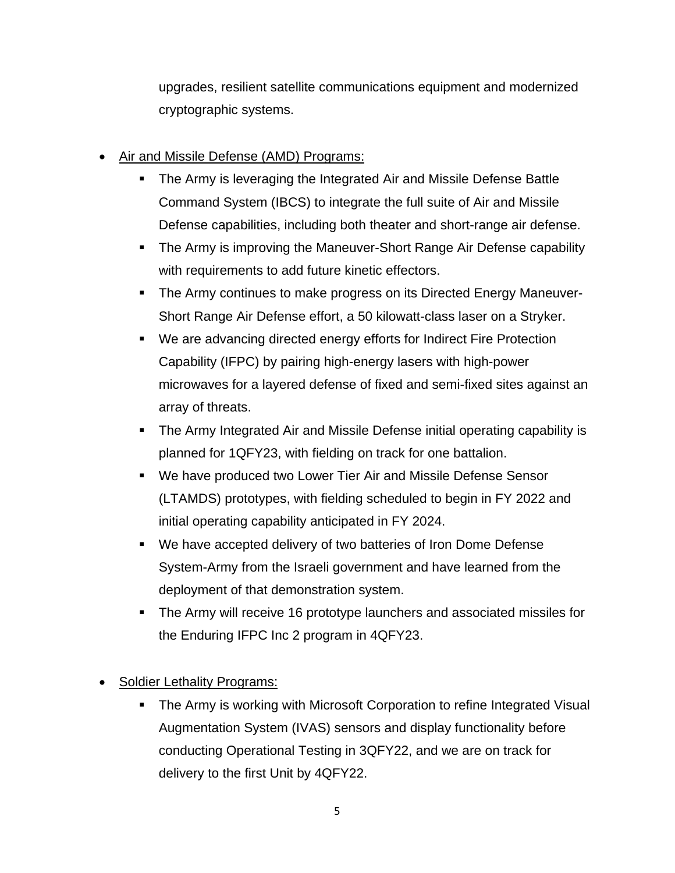upgrades, resilient satellite communications equipment and modernized cryptographic systems.

- Air and Missile Defense (AMD) Programs:
	- The Army is leveraging the Integrated Air and Missile Defense Battle Command System (IBCS) to integrate the full suite of Air and Missile Defense capabilities, including both theater and short-range air defense.
	- **The Army is improving the Maneuver-Short Range Air Defense capability** with requirements to add future kinetic effectors.
	- The Army continues to make progress on its Directed Energy Maneuver-Short Range Air Defense effort, a 50 kilowatt-class laser on a Stryker.
	- We are advancing directed energy efforts for Indirect Fire Protection Capability (IFPC) by pairing high-energy lasers with high-power microwaves for a layered defense of fixed and semi-fixed sites against an array of threats.
	- **The Army Integrated Air and Missile Defense initial operating capability is** planned for 1QFY23, with fielding on track for one battalion.
	- We have produced two Lower Tier Air and Missile Defense Sensor (LTAMDS) prototypes, with fielding scheduled to begin in FY 2022 and initial operating capability anticipated in FY 2024.
	- We have accepted delivery of two batteries of Iron Dome Defense System-Army from the Israeli government and have learned from the deployment of that demonstration system.
	- The Army will receive 16 prototype launchers and associated missiles for the Enduring IFPC Inc 2 program in 4QFY23.

Soldier Lethality Programs:

**The Army is working with Microsoft Corporation to refine Integrated Visual** Augmentation System (IVAS) sensors and display functionality before conducting Operational Testing in 3QFY22, and we are on track for delivery to the first Unit by 4QFY22.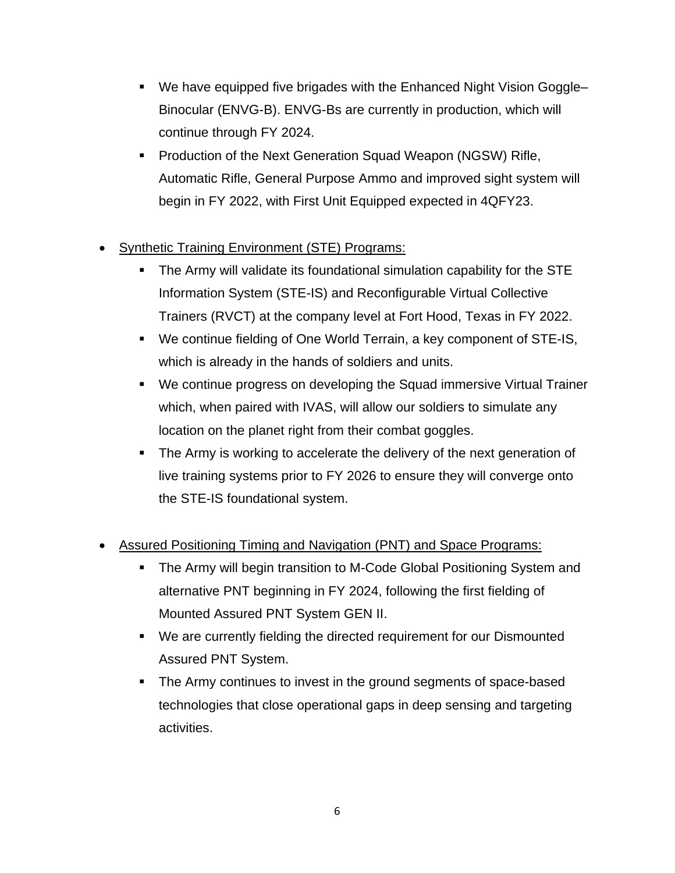- We have equipped five brigades with the Enhanced Night Vision Goggle– Binocular (ENVG-B). ENVG-Bs are currently in production, which will continue through FY 2024.
- **Production of the Next Generation Squad Weapon (NGSW) Rifle,** Automatic Rifle, General Purpose Ammo and improved sight system will begin in FY 2022, with First Unit Equipped expected in 4QFY23.
- Synthetic Training Environment (STE) Programs:
	- The Army will validate its foundational simulation capability for the STE Information System (STE-IS) and Reconfigurable Virtual Collective Trainers (RVCT) at the company level at Fort Hood, Texas in FY 2022.
	- We continue fielding of One World Terrain, a key component of STE-IS, which is already in the hands of soldiers and units.
	- We continue progress on developing the Squad immersive Virtual Trainer which, when paired with IVAS, will allow our soldiers to simulate any location on the planet right from their combat goggles.
	- The Army is working to accelerate the delivery of the next generation of live training systems prior to FY 2026 to ensure they will converge onto the STE-IS foundational system.
- Assured Positioning Timing and Navigation (PNT) and Space Programs:
	- The Army will begin transition to M-Code Global Positioning System and alternative PNT beginning in FY 2024, following the first fielding of Mounted Assured PNT System GEN II.
	- We are currently fielding the directed requirement for our Dismounted Assured PNT System.
	- The Army continues to invest in the ground segments of space-based technologies that close operational gaps in deep sensing and targeting activities.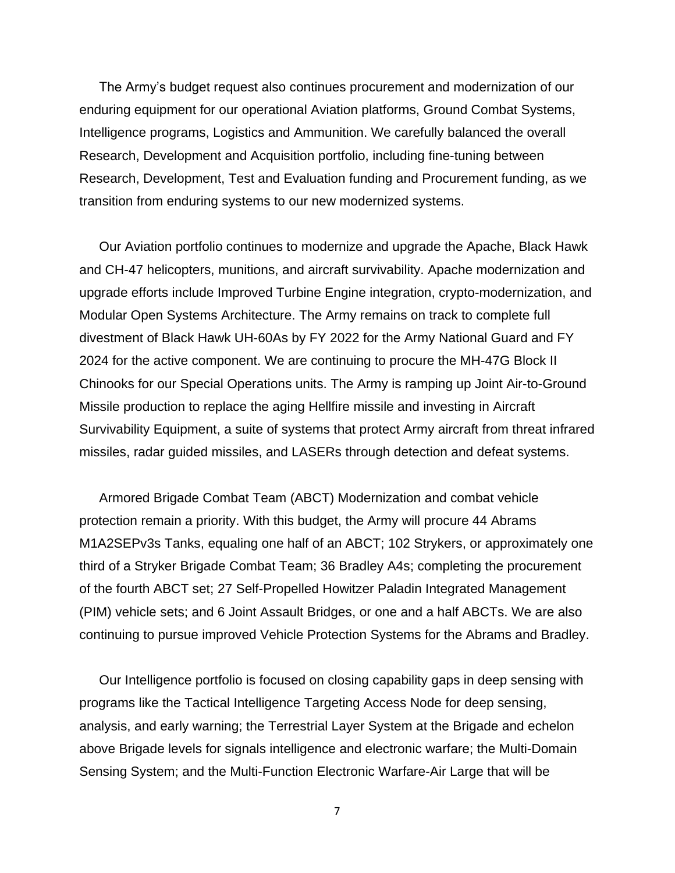The Army's budget request also continues procurement and modernization of our enduring equipment for our operational Aviation platforms, Ground Combat Systems, Intelligence programs, Logistics and Ammunition. We carefully balanced the overall Research, Development and Acquisition portfolio, including fine-tuning between Research, Development, Test and Evaluation funding and Procurement funding, as we transition from enduring systems to our new modernized systems.

Our Aviation portfolio continues to modernize and upgrade the Apache, Black Hawk and CH-47 helicopters, munitions, and aircraft survivability. Apache modernization and upgrade efforts include Improved Turbine Engine integration, crypto-modernization, and Modular Open Systems Architecture. The Army remains on track to complete full divestment of Black Hawk UH-60As by FY 2022 for the Army National Guard and FY 2024 for the active component. We are continuing to procure the MH-47G Block II Chinooks for our Special Operations units. The Army is ramping up Joint Air-to-Ground Missile production to replace the aging Hellfire missile and investing in Aircraft Survivability Equipment, a suite of systems that protect Army aircraft from threat infrared missiles, radar guided missiles, and LASERs through detection and defeat systems.

Armored Brigade Combat Team (ABCT) Modernization and combat vehicle protection remain a priority. With this budget, the Army will procure 44 Abrams M1A2SEPv3s Tanks, equaling one half of an ABCT; 102 Strykers, or approximately one third of a Stryker Brigade Combat Team; 36 Bradley A4s; completing the procurement of the fourth ABCT set; 27 Self-Propelled Howitzer Paladin Integrated Management (PIM) vehicle sets; and 6 Joint Assault Bridges, or one and a half ABCTs. We are also continuing to pursue improved Vehicle Protection Systems for the Abrams and Bradley.

Our Intelligence portfolio is focused on closing capability gaps in deep sensing with programs like the Tactical Intelligence Targeting Access Node for deep sensing, analysis, and early warning; the Terrestrial Layer System at the Brigade and echelon above Brigade levels for signals intelligence and electronic warfare; the Multi-Domain Sensing System; and the Multi-Function Electronic Warfare-Air Large that will be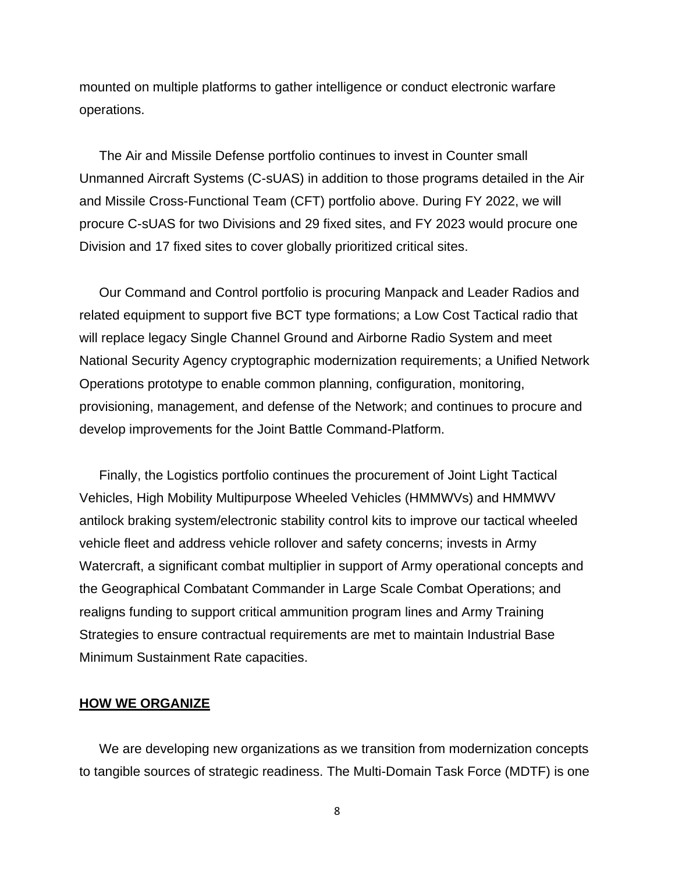mounted on multiple platforms to gather intelligence or conduct electronic warfare operations.

The Air and Missile Defense portfolio continues to invest in Counter small Unmanned Aircraft Systems (C-sUAS) in addition to those programs detailed in the Air and Missile Cross-Functional Team (CFT) portfolio above. During FY 2022, we will procure C-sUAS for two Divisions and 29 fixed sites, and FY 2023 would procure one Division and 17 fixed sites to cover globally prioritized critical sites.

Our Command and Control portfolio is procuring Manpack and Leader Radios and related equipment to support five BCT type formations; a Low Cost Tactical radio that will replace legacy Single Channel Ground and Airborne Radio System and meet National Security Agency cryptographic modernization requirements; a Unified Network Operations prototype to enable common planning, configuration, monitoring, provisioning, management, and defense of the Network; and continues to procure and develop improvements for the Joint Battle Command-Platform.

Finally, the Logistics portfolio continues the procurement of Joint Light Tactical Vehicles, High Mobility Multipurpose Wheeled Vehicles (HMMWVs) and HMMWV antilock braking system/electronic stability control kits to improve our tactical wheeled vehicle fleet and address vehicle rollover and safety concerns; invests in Army Watercraft, a significant combat multiplier in support of Army operational concepts and the Geographical Combatant Commander in Large Scale Combat Operations; and realigns funding to support critical ammunition program lines and Army Training Strategies to ensure contractual requirements are met to maintain Industrial Base Minimum Sustainment Rate capacities.

### **HOW WE ORGANIZE**

We are developing new organizations as we transition from modernization concepts to tangible sources of strategic readiness. The Multi-Domain Task Force (MDTF) is one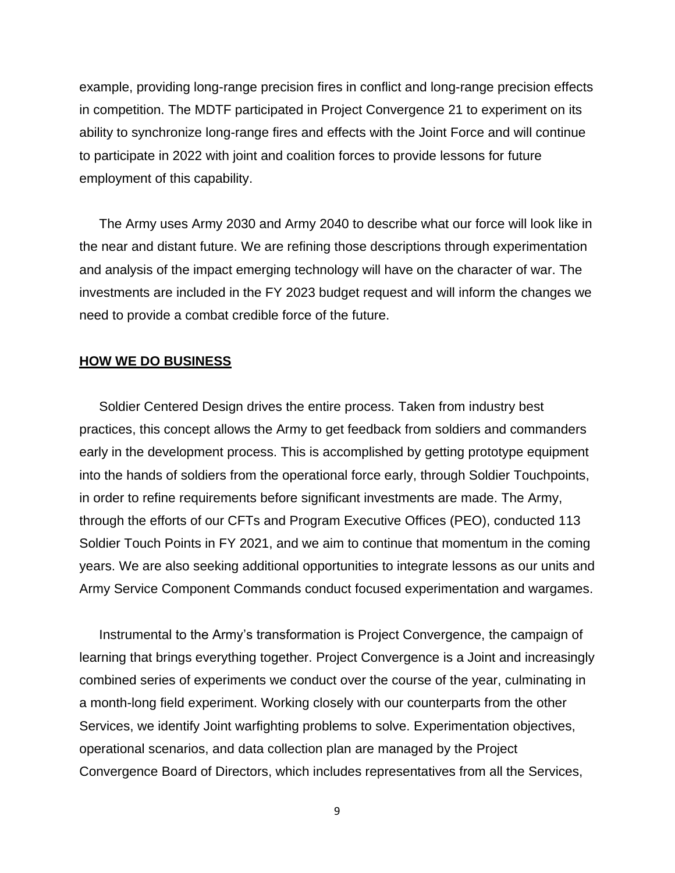example, providing long-range precision fires in conflict and long-range precision effects in competition. The MDTF participated in Project Convergence 21 to experiment on its ability to synchronize long-range fires and effects with the Joint Force and will continue to participate in 2022 with joint and coalition forces to provide lessons for future employment of this capability.

The Army uses Army 2030 and Army 2040 to describe what our force will look like in the near and distant future. We are refining those descriptions through experimentation and analysis of the impact emerging technology will have on the character of war. The investments are included in the FY 2023 budget request and will inform the changes we need to provide a combat credible force of the future.

#### **HOW WE DO BUSINESS**

Soldier Centered Design drives the entire process. Taken from industry best practices, this concept allows the Army to get feedback from soldiers and commanders early in the development process. This is accomplished by getting prototype equipment into the hands of soldiers from the operational force early, through Soldier Touchpoints, in order to refine requirements before significant investments are made. The Army, through the efforts of our CFTs and Program Executive Offices (PEO), conducted 113 Soldier Touch Points in FY 2021, and we aim to continue that momentum in the coming years. We are also seeking additional opportunities to integrate lessons as our units and Army Service Component Commands conduct focused experimentation and wargames.

Instrumental to the Army's transformation is Project Convergence, the campaign of learning that brings everything together. Project Convergence is a Joint and increasingly combined series of experiments we conduct over the course of the year, culminating in a month-long field experiment. Working closely with our counterparts from the other Services, we identify Joint warfighting problems to solve. Experimentation objectives, operational scenarios, and data collection plan are managed by the Project Convergence Board of Directors, which includes representatives from all the Services,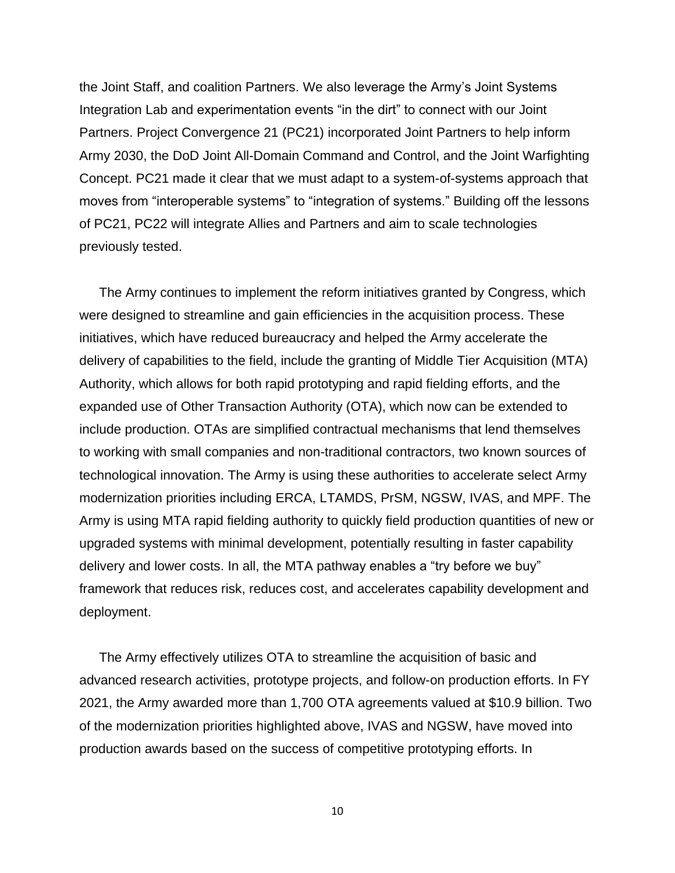the Joint Staff, and coalition Partners. We also leverage the Army's Joint Systems Integration Lab and experimentation events "in the dirt" to connect with our Joint Partners. Project Convergence 21 (PC21) incorporated Joint Partners to help inform Army 2030, the DoD Joint All-Domain Command and Control, and the Joint Warfighting Concept. PC21 made it clear that we must adapt to a system-of-systems approach that moves from "interoperable systems" to "integration of systems." Building off the lessons of PC21, PC22 will integrate Allies and Partners and aim to scale technologies previously tested.

The Army continues to implement the reform initiatives granted by Congress, which were designed to streamline and gain efficiencies in the acquisition process. These initiatives, which have reduced bureaucracy and helped the Army accelerate the delivery of capabilities to the field, include the granting of Middle Tier Acquisition (MTA) Authority, which allows for both rapid prototyping and rapid fielding efforts, and the expanded use of Other Transaction Authority (OTA), which now can be extended to include production. OTAs are simplified contractual mechanisms that lend themselves to working with small companies and non-traditional contractors, two known sources of technological innovation. The Army is using these authorities to accelerate select Army modernization priorities including ERCA, LTAMDS, PrSM, NGSW, IVAS, and MPF. The Army is using MTA rapid fielding authority to quickly field production quantities of new or upgraded systems with minimal development, potentially resulting in faster capability delivery and lower costs. In all, the MTA pathway enables a "try before we buy" framework that reduces risk, reduces cost, and accelerates capability development and deployment.

The Army effectively utilizes OTA to streamline the acquisition of basic and advanced research activities, prototype projects, and follow-on production efforts. In FY 2021, the Army awarded more than 1,700 OTA agreements valued at \$10.9 billion. Two of the modernization priorities highlighted above, IVAS and NGSW, have moved into production awards based on the success of competitive prototyping efforts. In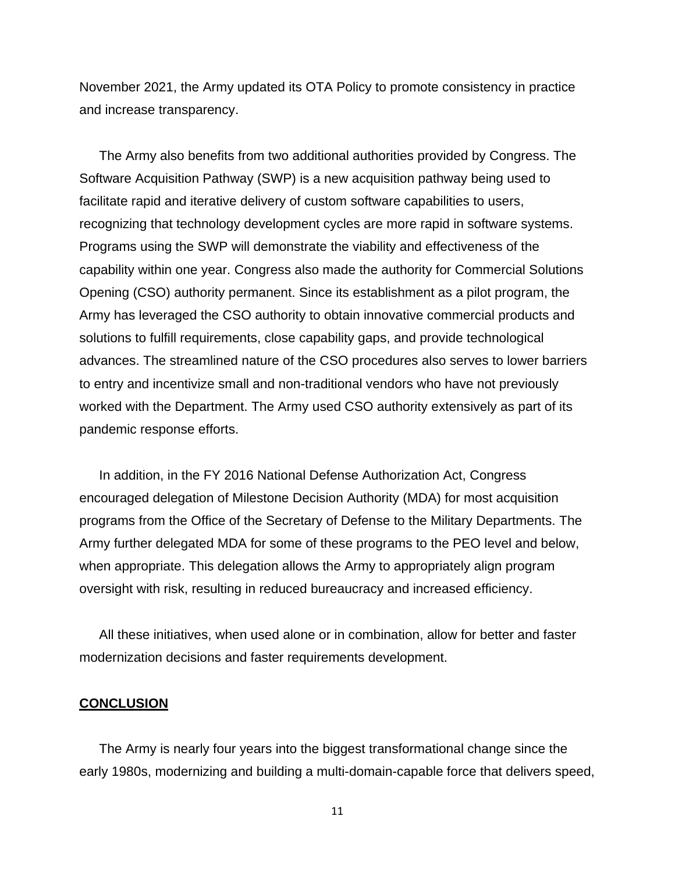November 2021, the Army updated its OTA Policy to promote consistency in practice and increase transparency.

The Army also benefits from two additional authorities provided by Congress. The Software Acquisition Pathway (SWP) is a new acquisition pathway being used to facilitate rapid and iterative delivery of custom software capabilities to users, recognizing that technology development cycles are more rapid in software systems. Programs using the SWP will demonstrate the viability and effectiveness of the capability within one year. Congress also made the authority for Commercial Solutions Opening (CSO) authority permanent. Since its establishment as a pilot program, the Army has leveraged the CSO authority to obtain innovative commercial products and solutions to fulfill requirements, close capability gaps, and provide technological advances. The streamlined nature of the CSO procedures also serves to lower barriers to entry and incentivize small and non-traditional vendors who have not previously worked with the Department. The Army used CSO authority extensively as part of its pandemic response efforts.

In addition, in the FY 2016 National Defense Authorization Act, Congress encouraged delegation of Milestone Decision Authority (MDA) for most acquisition programs from the Office of the Secretary of Defense to the Military Departments. The Army further delegated MDA for some of these programs to the PEO level and below, when appropriate. This delegation allows the Army to appropriately align program oversight with risk, resulting in reduced bureaucracy and increased efficiency.

All these initiatives, when used alone or in combination, allow for better and faster modernization decisions and faster requirements development.

#### **CONCLUSION**

The Army is nearly four years into the biggest transformational change since the early 1980s, modernizing and building a multi-domain-capable force that delivers speed,